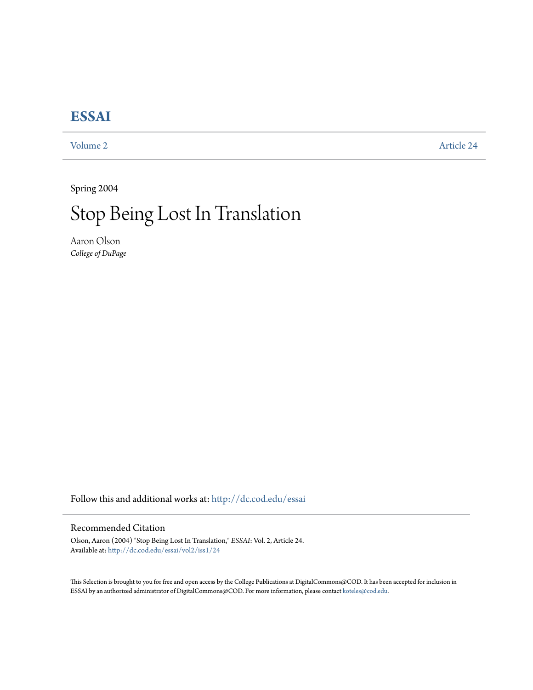## **[ESSAI](http://dc.cod.edu/essai?utm_source=dc.cod.edu%2Fessai%2Fvol2%2Fiss1%2F24&utm_medium=PDF&utm_campaign=PDFCoverPages)**

[Volume 2](http://dc.cod.edu/essai/vol2?utm_source=dc.cod.edu%2Fessai%2Fvol2%2Fiss1%2F24&utm_medium=PDF&utm_campaign=PDFCoverPages) [Article 24](http://dc.cod.edu/essai/vol2/iss1/24?utm_source=dc.cod.edu%2Fessai%2Fvol2%2Fiss1%2F24&utm_medium=PDF&utm_campaign=PDFCoverPages)

Spring 2004

## Stop Being Lost In Translation

Aaron Olson *College of DuPage*

Follow this and additional works at: [http://dc.cod.edu/essai](http://dc.cod.edu/essai?utm_source=dc.cod.edu%2Fessai%2Fvol2%2Fiss1%2F24&utm_medium=PDF&utm_campaign=PDFCoverPages)

## Recommended Citation

Olson, Aaron (2004) "Stop Being Lost In Translation," *ESSAI*: Vol. 2, Article 24. Available at: [http://dc.cod.edu/essai/vol2/iss1/24](http://dc.cod.edu/essai/vol2/iss1/24?utm_source=dc.cod.edu%2Fessai%2Fvol2%2Fiss1%2F24&utm_medium=PDF&utm_campaign=PDFCoverPages)

This Selection is brought to you for free and open access by the College Publications at DigitalCommons@COD. It has been accepted for inclusion in ESSAI by an authorized administrator of DigitalCommons@COD. For more information, please contact [koteles@cod.edu](mailto:koteles@cod.edu).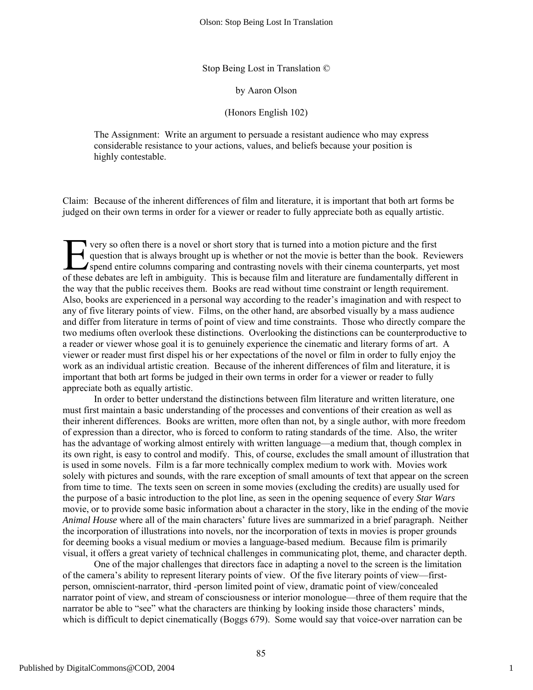Stop Being Lost in Translation ©

by Aaron Olson

(Honors English 102)

The Assignment: Write an argument to persuade a resistant audience who may express considerable resistance to your actions, values, and beliefs because your position is highly contestable.

Claim: Because of the inherent differences of film and literature, it is important that both art forms be judged on their own terms in order for a viewer or reader to fully appreciate both as equally artistic.

very so often there is a novel or short story that is turned into a motion picture and the first question that is always brought up is whether or not the movie is better than the book. Reviewers spend entire columns comparing and contrasting novels with their cinema counterparts, yet most The very so often there is a novel or short story that is turned into a motion picture and the first question that is always brought up is whether or not the movie is better than the book. Reviewers spend entire columns co the way that the public receives them. Books are read without time constraint or length requirement. Also, books are experienced in a personal way according to the reader's imagination and with respect to any of five literary points of view. Films, on the other hand, are absorbed visually by a mass audience and differ from literature in terms of point of view and time constraints. Those who directly compare the two mediums often overlook these distinctions. Overlooking the distinctions can be counterproductive to a reader or viewer whose goal it is to genuinely experience the cinematic and literary forms of art. A viewer or reader must first dispel his or her expectations of the novel or film in order to fully enjoy the work as an individual artistic creation. Because of the inherent differences of film and literature, it is important that both art forms be judged in their own terms in order for a viewer or reader to fully appreciate both as equally artistic.

In order to better understand the distinctions between film literature and written literature, one must first maintain a basic understanding of the processes and conventions of their creation as well as their inherent differences. Books are written, more often than not, by a single author, with more freedom of expression than a director, who is forced to conform to rating standards of the time. Also, the writer has the advantage of working almost entirely with written language—a medium that, though complex in its own right, is easy to control and modify. This, of course, excludes the small amount of illustration that is used in some novels. Film is a far more technically complex medium to work with. Movies work solely with pictures and sounds, with the rare exception of small amounts of text that appear on the screen from time to time. The texts seen on screen in some movies (excluding the credits) are usually used for the purpose of a basic introduction to the plot line, as seen in the opening sequence of every *Star Wars* movie, or to provide some basic information about a character in the story, like in the ending of the movie *Animal House* where all of the main characters' future lives are summarized in a brief paragraph. Neither the incorporation of illustrations into novels, nor the incorporation of texts in movies is proper grounds for deeming books a visual medium or movies a language-based medium. Because film is primarily visual, it offers a great variety of technical challenges in communicating plot, theme, and character depth.

One of the major challenges that directors face in adapting a novel to the screen is the limitation of the camera's ability to represent literary points of view. Of the five literary points of view—firstperson, omniscient-narrator, third -person limited point of view, dramatic point of view/concealed narrator point of view, and stream of consciousness or interior monologue—three of them require that the narrator be able to "see" what the characters are thinking by looking inside those characters' minds, which is difficult to depict cinematically (Boggs 679). Some would say that voice-over narration can be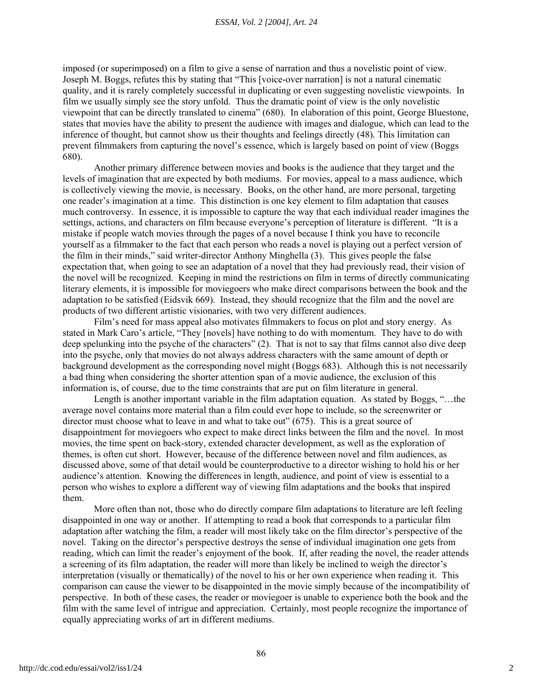imposed (or superimposed) on a film to give a sense of narration and thus a novelistic point of view. Joseph M. Boggs, refutes this by stating that "This [voice-over narration] is not a natural cinematic quality, and it is rarely completely successful in duplicating or even suggesting novelistic viewpoints. In film we usually simply see the story unfold. Thus the dramatic point of view is the only novelistic viewpoint that can be directly translated to cinema" (680). In elaboration of this point, George Bluestone*,* states that movies have the ability to present the audience with images and dialogue, which can lead to the inference of thought, but cannot show us their thoughts and feelings directly (48)*.* This limitation can prevent filmmakers from capturing the novel's essence, which is largely based on point of view (Boggs 680).

Another primary difference between movies and books is the audience that they target and the levels of imagination that are expected by both mediums. For movies, appeal to a mass audience, which is collectively viewing the movie, is necessary. Books, on the other hand, are more personal, targeting one reader's imagination at a time. This distinction is one key element to film adaptation that causes much controversy. In essence, it is impossible to capture the way that each individual reader imagines the settings, actions, and characters on film because everyone's perception of literature is different. "It is a mistake if people watch movies through the pages of a novel because I think you have to reconcile yourself as a filmmaker to the fact that each person who reads a novel is playing out a perfect version of the film in their minds," said writer-director Anthony Minghella (3). This gives people the false expectation that, when going to see an adaptation of a novel that they had previously read, their vision of the novel will be recognized. Keeping in mind the restrictions on film in terms of directly communicating literary elements, it is impossible for moviegoers who make direct comparisons between the book and the adaptation to be satisfied (Eidsvik 669). Instead, they should recognize that the film and the novel are products of two different artistic visionaries, with two very different audiences.

Film's need for mass appeal also motivates filmmakers to focus on plot and story energy. As stated in Mark Caro's article, "They [novels] have nothing to do with momentum. They have to do with deep spelunking into the psyche of the characters" (2). That is not to say that films cannot also dive deep into the psyche, only that movies do not always address characters with the same amount of depth or background development as the corresponding novel might (Boggs 683). Although this is not necessarily a bad thing when considering the shorter attention span of a movie audience, the exclusion of this information is, of course, due to the time constraints that are put on film literature in general.

Length is another important variable in the film adaptation equation. As stated by Boggs, "…the average novel contains more material than a film could ever hope to include, so the screenwriter or director must choose what to leave in and what to take out" (675). This is a great source of disappointment for moviegoers who expect to make direct links between the film and the novel. In most movies, the time spent on back-story, extended character development, as well as the exploration of themes, is often cut short. However, because of the difference between novel and film audiences, as discussed above, some of that detail would be counterproductive to a director wishing to hold his or her audience's attention. Knowing the differences in length, audience, and point of view is essential to a person who wishes to explore a different way of viewing film adaptations and the books that inspired them.

More often than not, those who do directly compare film adaptations to literature are left feeling disappointed in one way or another. If attempting to read a book that corresponds to a particular film adaptation after watching the film, a reader will most likely take on the film director's perspective of the novel. Taking on the director's perspective destroys the sense of individual imagination one gets from reading, which can limit the reader's enjoyment of the book. If, after reading the novel, the reader attends a screening of its film adaptation, the reader will more than likely be inclined to weigh the director's interpretation (visually or thematically) of the novel to his or her own experience when reading it. This comparison can cause the viewer to be disappointed in the movie simply because of the incompatibility of perspective. In both of these cases, the reader or moviegoer is unable to experience both the book and the film with the same level of intrigue and appreciation. Certainly, most people recognize the importance of equally appreciating works of art in different mediums.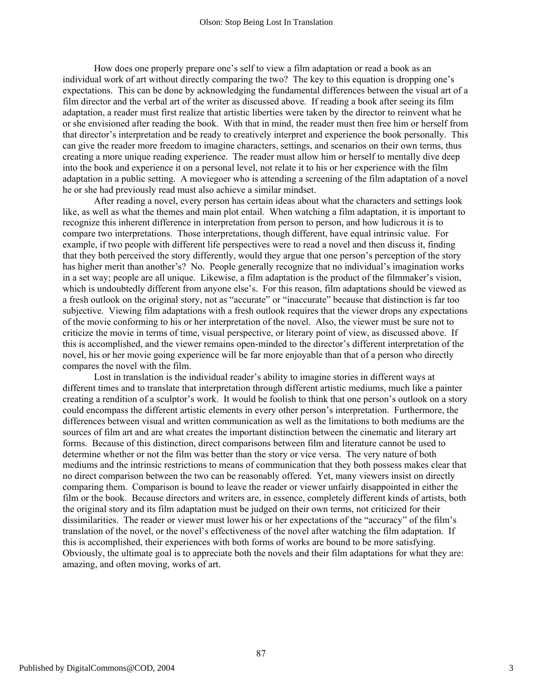How does one properly prepare one's self to view a film adaptation or read a book as an individual work of art without directly comparing the two? The key to this equation is dropping one's expectations. This can be done by acknowledging the fundamental differences between the visual art of a film director and the verbal art of the writer as discussed above. If reading a book after seeing its film adaptation, a reader must first realize that artistic liberties were taken by the director to reinvent what he or she envisioned after reading the book. With that in mind, the reader must then free him or herself from that director's interpretation and be ready to creatively interpret and experience the book personally. This can give the reader more freedom to imagine characters, settings, and scenarios on their own terms, thus creating a more unique reading experience. The reader must allow him or herself to mentally dive deep into the book and experience it on a personal level, not relate it to his or her experience with the film adaptation in a public setting. A moviegoer who is attending a screening of the film adaptation of a novel he or she had previously read must also achieve a similar mindset.

After reading a novel, every person has certain ideas about what the characters and settings look like, as well as what the themes and main plot entail. When watching a film adaptation, it is important to recognize this inherent difference in interpretation from person to person, and how ludicrous it is to compare two interpretations. Those interpretations, though different, have equal intrinsic value. For example, if two people with different life perspectives were to read a novel and then discuss it, finding that they both perceived the story differently, would they argue that one person's perception of the story has higher merit than another's? No. People generally recognize that no individual's imagination works in a set way; people are all unique. Likewise, a film adaptation is the product of the filmmaker's vision, which is undoubtedly different from anyone else's. For this reason, film adaptations should be viewed as a fresh outlook on the original story, not as "accurate" or "inaccurate" because that distinction is far too subjective. Viewing film adaptations with a fresh outlook requires that the viewer drops any expectations of the movie conforming to his or her interpretation of the novel. Also, the viewer must be sure not to criticize the movie in terms of time, visual perspective, or literary point of view, as discussed above. If this is accomplished, and the viewer remains open-minded to the director's different interpretation of the novel, his or her movie going experience will be far more enjoyable than that of a person who directly compares the novel with the film.

Lost in translation is the individual reader's ability to imagine stories in different ways at different times and to translate that interpretation through different artistic mediums, much like a painter creating a rendition of a sculptor's work. It would be foolish to think that one person's outlook on a story could encompass the different artistic elements in every other person's interpretation. Furthermore, the differences between visual and written communication as well as the limitations to both mediums are the sources of film art and are what creates the important distinction between the cinematic and literary art forms. Because of this distinction, direct comparisons between film and literature cannot be used to determine whether or not the film was better than the story or vice versa. The very nature of both mediums and the intrinsic restrictions to means of communication that they both possess makes clear that no direct comparison between the two can be reasonably offered. Yet, many viewers insist on directly comparing them. Comparison is bound to leave the reader or viewer unfairly disappointed in either the film or the book. Because directors and writers are, in essence, completely different kinds of artists, both the original story and its film adaptation must be judged on their own terms, not criticized for their dissimilarities. The reader or viewer must lower his or her expectations of the "accuracy" of the film's translation of the novel, or the novel's effectiveness of the novel after watching the film adaptation. If this is accomplished, their experiences with both forms of works are bound to be more satisfying. Obviously, the ultimate goal is to appreciate both the novels and their film adaptations for what they are: amazing, and often moving, works of art.